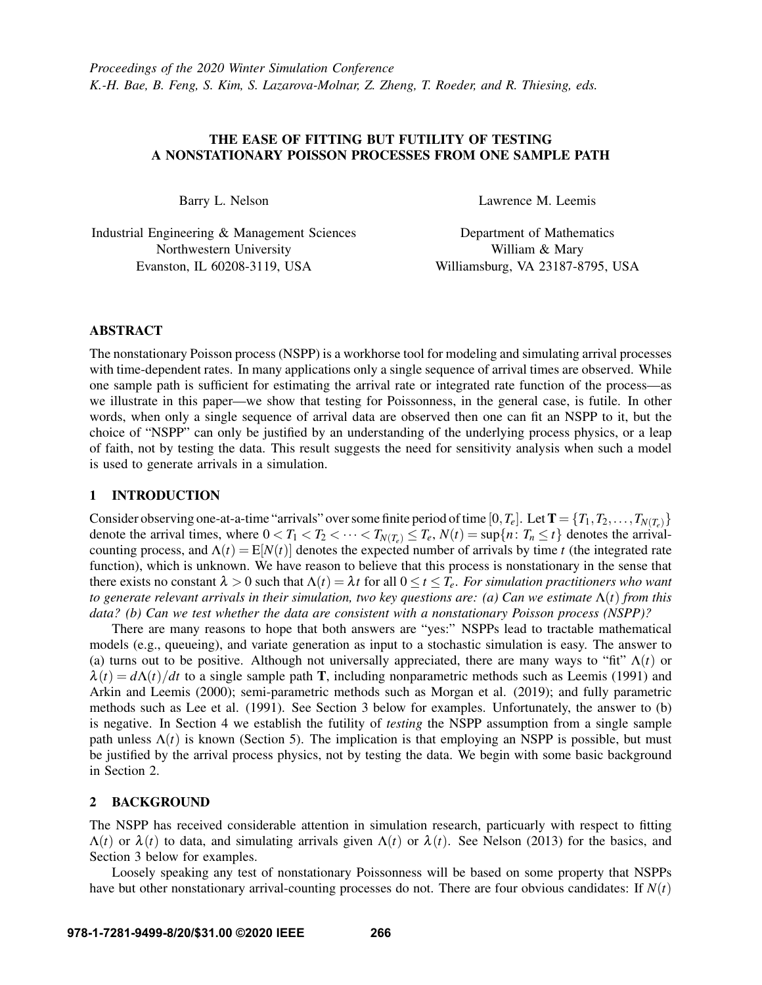# THE EASE OF FITTING BUT FUTILITY OF TESTING A NONSTATIONARY POISSON PROCESSES FROM ONE SAMPLE PATH

Barry L. Nelson

Industrial Engineering & Management Sciences Northwestern University Evanston, IL 60208-3119, USA

Lawrence M. Leemis

Department of Mathematics William & Mary Williamsburg, VA 23187-8795, USA

## ABSTRACT

The nonstationary Poisson process (NSPP) is a workhorse tool for modeling and simulating arrival processes with time-dependent rates. In many applications only a single sequence of arrival times are observed. While one sample path is sufficient for estimating the arrival rate or integrated rate function of the process—as we illustrate in this paper—we show that testing for Poissonness, in the general case, is futile. In other words, when only a single sequence of arrival data are observed then one can fit an NSPP to it, but the choice of "NSPP" can only be justified by an understanding of the underlying process physics, or a leap of faith, not by testing the data. This result suggests the need for sensitivity analysis when such a model is used to generate arrivals in a simulation.

## 1 INTRODUCTION

Consider observing one-at-a-time "arrivals" over some finite period of time  $[0, T_e]$ . Let  $T = \{T_1, T_2, \ldots, T_{N(T_e)}\}$ denote the arrival times, where  $0 < T_1 < T_2 < \cdots < T_{N(T_e)} \le T_e$ ,  $N(t) = \sup\{n : T_n \le t\}$  denotes the arrivalcounting process, and  $\Lambda(t) = E[N(t)]$  denotes the expected number of arrivals by time *t* (the integrated rate function), which is unknown. We have reason to believe that this process is nonstationary in the sense that there exists no constant  $\lambda > 0$  such that  $\Lambda(t) = \lambda t$  for all  $0 \le t \le T_e$ . For simulation practitioners who want *to generate relevant arrivals in their simulation, two key questions are: (a) Can we estimate* Λ(*t*) *from this data? (b) Can we test whether the data are consistent with a nonstationary Poisson process (NSPP)?*

There are many reasons to hope that both answers are "yes:" NSPPs lead to tractable mathematical models (e.g., queueing), and variate generation as input to a stochastic simulation is easy. The answer to (a) turns out to be positive. Although not universally appreciated, there are many ways to "fit"  $\Lambda(t)$  or  $\lambda(t) = d\Lambda(t)/dt$  to a single sample path T, including nonparametric methods such as [Leemis \(1991\)](#page-9-0) and [Arkin and Leemis \(2000\);](#page-9-1) semi-parametric methods such as [Morgan et al. \(2019\);](#page-9-2) and fully parametric methods such as [Lee et al. \(1991\).](#page-9-3) See Section [3](#page-1-0) below for examples. Unfortunately, the answer to (b) is negative. In Section [4](#page-6-0) we establish the futility of *testing* the NSPP assumption from a single sample path unless  $\Lambda(t)$  is known (Section [5\)](#page-7-0). The implication is that employing an NSPP is possible, but must be justified by the arrival process physics, not by testing the data. We begin with some basic background in Section [2.](#page-0-0)

## <span id="page-0-0"></span>2 BACKGROUND

The NSPP has received considerable attention in simulation research, particuarly with respect to fitting  $\Lambda(t)$  or  $\lambda(t)$  to data, and simulating arrivals given  $\Lambda(t)$  or  $\lambda(t)$ . See [Nelson \(2013\)](#page-10-0) for the basics, and Section [3](#page-1-0) below for examples.

Loosely speaking any test of nonstationary Poissonness will be based on some property that NSPPs have but other nonstationary arrival-counting processes do not. There are four obvious candidates: If *N*(*t*)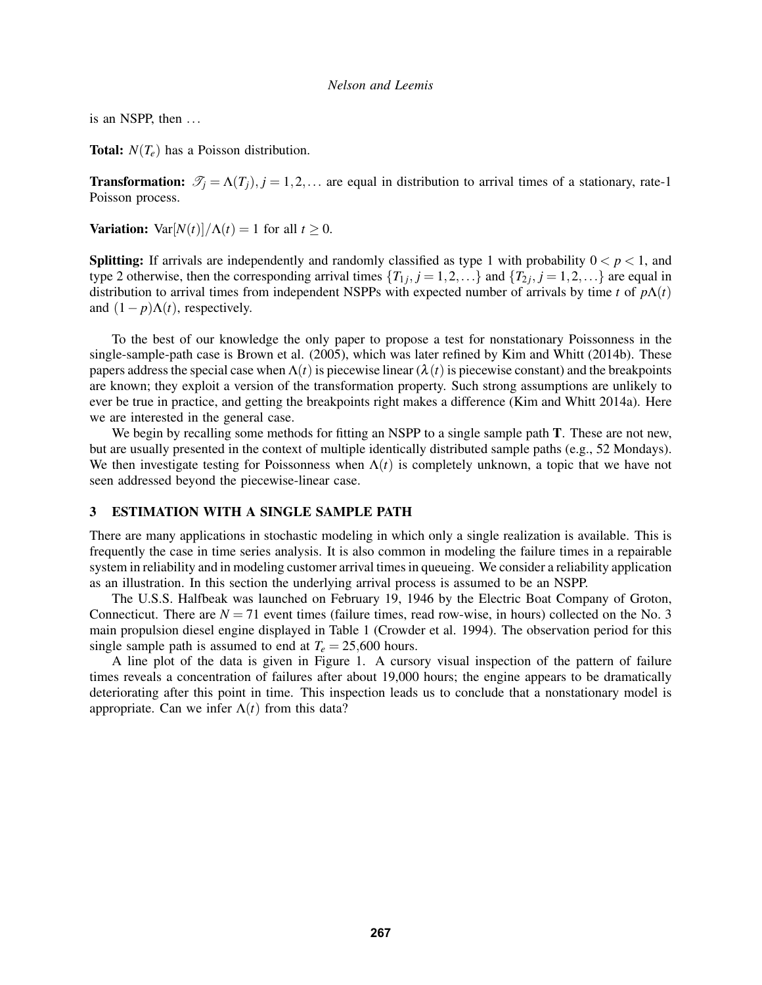is an NSPP, then ...

**Total:**  $N(T_e)$  has a Poisson distribution.

**Transformation:**  $\mathcal{T}_j = \Lambda(T_j)$ ,  $j = 1, 2, \ldots$  are equal in distribution to arrival times of a stationary, rate-1 Poisson process.

**Variation:**  $\text{Var}[N(t)]/\Lambda(t) = 1$  for all  $t \geq 0$ .

**Splitting:** If arrivals are independently and randomly classified as type 1 with probability  $0 < p < 1$ , and type 2 otherwise, then the corresponding arrival times  $\{T_{1j}, j = 1, 2, ...\}$  and  $\{T_{2j}, j = 1, 2, ...\}$  are equal in distribution to arrival times from independent NSPPs with expected number of arrivals by time *t* of *p*Λ(*t*) and  $(1 - p)\Lambda(t)$ , respectively.

To the best of our knowledge the only paper to propose a test for nonstationary Poissonness in the single-sample-path case is [Brown et al. \(2005\),](#page-9-4) which was later refined by [Kim and Whitt \(2014b\).](#page-9-5) These papers address the special case when  $\Lambda(t)$  is piecewise linear ( $\lambda(t)$  is piecewise constant) and the breakpoints are known; they exploit a version of the transformation property. Such strong assumptions are unlikely to ever be true in practice, and getting the breakpoints right makes a difference [\(Kim and Whitt 2014a\)](#page-9-6). Here we are interested in the general case.

We begin by recalling some methods for fitting an NSPP to a single sample path **T**. These are not new, but are usually presented in the context of multiple identically distributed sample paths (e.g., 52 Mondays). We then investigate testing for Poissonness when  $\Lambda(t)$  is completely unknown, a topic that we have not seen addressed beyond the piecewise-linear case.

## <span id="page-1-0"></span>3 ESTIMATION WITH A SINGLE SAMPLE PATH

There are many applications in stochastic modeling in which only a single realization is available. This is frequently the case in time series analysis. It is also common in modeling the failure times in a repairable system in reliability and in modeling customer arrival times in queueing. We consider a reliability application as an illustration. In this section the underlying arrival process is assumed to be an NSPP.

The U.S.S. Halfbeak was launched on February 19, 1946 by the Electric Boat Company of Groton, Connecticut. There are  $N = 71$  event times (failure times, read row-wise, in hours) collected on the No. 3 main propulsion diesel engine displayed in Table [1](#page-2-0) [\(Crowder et al. 1994\)](#page-9-7). The observation period for this single sample path is assumed to end at  $T_e = 25,600$  hours.

A line plot of the data is given in Figure [1.](#page-2-1) A cursory visual inspection of the pattern of failure times reveals a concentration of failures after about 19,000 hours; the engine appears to be dramatically deteriorating after this point in time. This inspection leads us to conclude that a nonstationary model is appropriate. Can we infer  $\Lambda(t)$  from this data?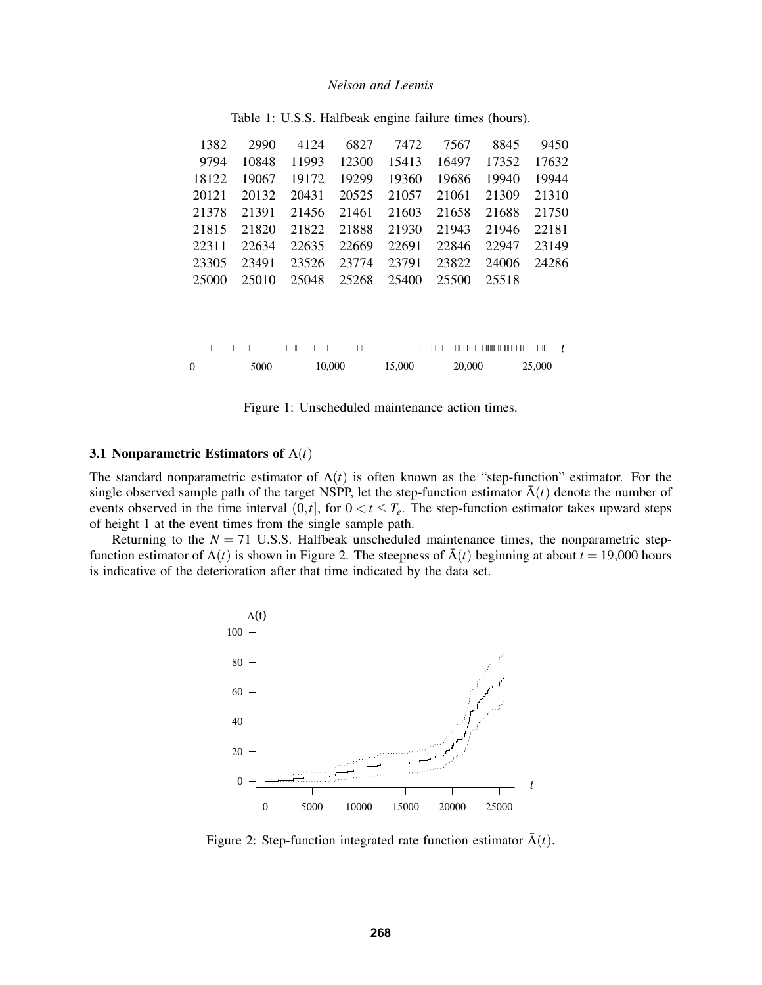<span id="page-2-0"></span>

| 1382     | 2990  | 4124   | 6827  | 7472   | 7567   | 8845  | 9450    |
|----------|-------|--------|-------|--------|--------|-------|---------|
| 9794     | 10848 | 11993  | 12300 | 15413  | 16497  | 17352 | 17632   |
| 18122    | 19067 | 19172  | 19299 | 19360  | 19686  | 19940 | 19944   |
| 20121    | 20132 | 20431  | 20525 | 21057  | 21061  | 21309 | 21310   |
| 21378    | 21391 | 21456  | 21461 | 21603  | 21658  | 21688 | 21750   |
| 21815    | 21820 | 21822  | 21888 | 21930  | 21943  | 21946 | 22181   |
| 22311    | 22634 | 22635  | 22669 | 22691  | 22846  | 22947 | 23149   |
| 23305    | 23491 | 23526  | 23774 | 23791  | 23822  | 24006 | 24286   |
| 25000    | 25010 | 25048  | 25268 | 25400  | 25500  | 25518 |         |
|          |       |        |       |        |        |       |         |
|          | Н     |        |       | ₩₩₩    |        |       | t<br>╫╫ |
| $\Omega$ | 5000  | 10,000 |       | 15,000 | 20,000 |       | 25,000  |

Table 1: U.S.S. Halfbeak engine failure times (hours).

<span id="page-2-1"></span>

## 3.1 Nonparametric Estimators of Λ(*t*)

The standard nonparametric estimator of  $\Lambda(t)$  is often known as the "step-function" estimator. For the single observed sample path of the target NSPP, let the step-function estimator  $\bar{\Lambda}(t)$  denote the number of events observed in the time interval  $(0,t]$ , for  $0 < t \leq T_e$ . The step-function estimator takes upward steps of height 1 at the event times from the single sample path.

Returning to the  $N = 71$  U.S.S. Halfbeak unscheduled maintenance times, the nonparametric stepfunction estimator of  $\Lambda(t)$  is shown in Figure [2.](#page-2-2) The steepness of  $\bar{\Lambda}(t)$  beginning at about  $t = 19,000$  hours is indicative of the deterioration after that time indicated by the data set.



<span id="page-2-2"></span>Figure 2: Step-function integrated rate function estimator  $\bar{\Lambda}(t)$ .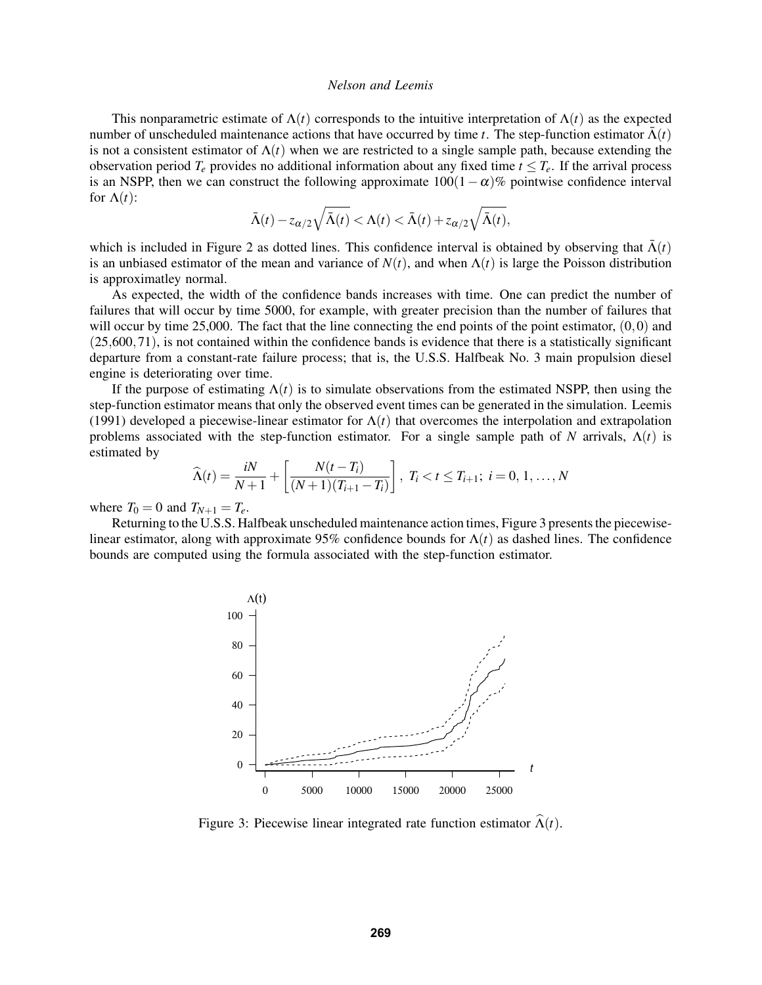This nonparametric estimate of  $\Lambda(t)$  corresponds to the intuitive interpretation of  $\Lambda(t)$  as the expected number of unscheduled maintenance actions that have occurred by time *t*. The step-function estimator  $\Lambda(t)$ is not a consistent estimator of  $\Lambda(t)$  when we are restricted to a single sample path, because extending the observation period  $T_e$  provides no additional information about any fixed time  $t \leq T_e$ . If the arrival process is an NSPP, then we can construct the following approximate  $100(1-\alpha)\%$  pointwise confidence interval for  $\Lambda(t)$ :

$$
\bar{\Lambda}(t) - z_{\alpha/2} \sqrt{\bar{\Lambda}(t)} < \Lambda(t) < \bar{\Lambda}(t) + z_{\alpha/2} \sqrt{\bar{\Lambda}(t)},
$$

which is included in Figure [2](#page-2-2) as dotted lines. This confidence interval is obtained by observing that  $\bar{\Lambda}(t)$ is an unbiased estimator of the mean and variance of  $N(t)$ , and when  $\Lambda(t)$  is large the Poisson distribution is approximatley normal.

As expected, the width of the confidence bands increases with time. One can predict the number of failures that will occur by time 5000, for example, with greater precision than the number of failures that will occur by time 25,000. The fact that the line connecting the end points of the point estimator,  $(0,0)$  and (25,600,71), is not contained within the confidence bands is evidence that there is a statistically significant departure from a constant-rate failure process; that is, the U.S.S. Halfbeak No. 3 main propulsion diesel engine is deteriorating over time.

If the purpose of estimating  $\Lambda(t)$  is to simulate observations from the estimated NSPP, then using the step-function estimator means that only the observed event times can be generated in the simulation. [Leemis](#page-9-0) [\(1991\)](#page-9-0) developed a piecewise-linear estimator for  $\Lambda(t)$  that overcomes the interpolation and extrapolation problems associated with the step-function estimator. For a single sample path of *N* arrivals,  $\Lambda(t)$  is estimated by

$$
\widehat{\Lambda}(t) = \frac{iN}{N+1} + \left[\frac{N(t-T_i)}{(N+1)(T_{i+1}-T_i)}\right], \ T_i < t \leq T_{i+1}; \ i = 0, 1, ..., N
$$

where  $T_0 = 0$  and  $T_{N+1} = T_e$ .

Returning to the U.S.S. Halfbeak unscheduled maintenance action times, Figure [3](#page-3-0) presents the piecewiselinear estimator, along with approximate 95% confidence bounds for  $\Lambda(t)$  as dashed lines. The confidence bounds are computed using the formula associated with the step-function estimator.



<span id="page-3-0"></span>Figure 3: Piecewise linear integrated rate function estimator  $\widehat{\Lambda}(t)$ .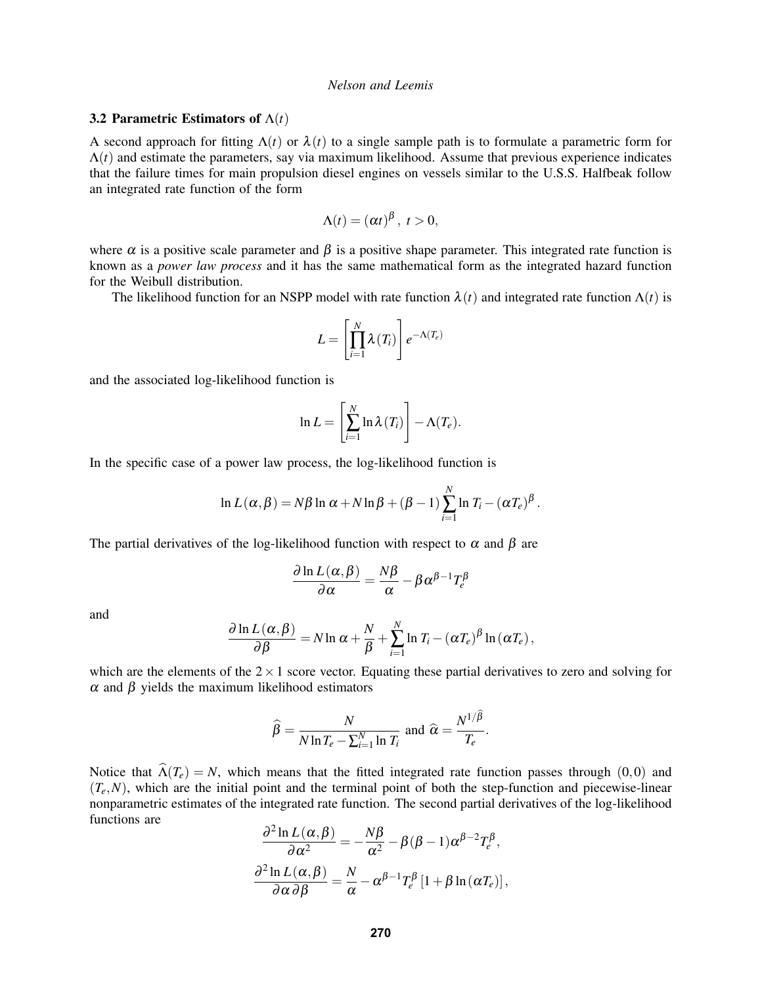### 3.2 Parametric Estimators of Λ(*t*)

A second approach for fitting  $\Lambda(t)$  or  $\lambda(t)$  to a single sample path is to formulate a parametric form for  $\Lambda(t)$  and estimate the parameters, say via maximum likelihood. Assume that previous experience indicates that the failure times for main propulsion diesel engines on vessels similar to the U.S.S. Halfbeak follow an integrated rate function of the form

$$
\Lambda(t)=(\alpha t)^{\beta},\ t>0,
$$

where  $\alpha$  is a positive scale parameter and  $\beta$  is a positive shape parameter. This integrated rate function is known as a *power law process* and it has the same mathematical form as the integrated hazard function for the Weibull distribution.

The likelihood function for an NSPP model with rate function  $\lambda(t)$  and integrated rate function  $\Lambda(t)$  is

$$
L = \left[\prod_{i=1}^N \lambda(T_i)\right] e^{-\Lambda(T_e)}
$$

and the associated log-likelihood function is

$$
\ln L = \left[\sum_{i=1}^N \ln \lambda(T_i)\right] - \Lambda(T_e).
$$

In the specific case of a power law process, the log-likelihood function is

$$
\ln L(\alpha, \beta) = N\beta \ln \alpha + N \ln \beta + (\beta - 1) \sum_{i=1}^{N} \ln T_i - (\alpha T_e)^{\beta}.
$$

The partial derivatives of the log-likelihood function with respect to  $\alpha$  and  $\beta$  are

$$
\frac{\partial \ln L(\alpha, \beta)}{\partial \alpha} = \frac{N\beta}{\alpha} - \beta \alpha^{\beta - 1} T_e^{\beta}
$$

and

$$
\frac{\partial \ln L(\alpha, \beta)}{\partial \beta} = N \ln \alpha + \frac{N}{\beta} + \sum_{i=1}^{N} \ln T_i - (\alpha T_e)^{\beta} \ln (\alpha T_e),
$$

which are the elements of the  $2 \times 1$  score vector. Equating these partial derivatives to zero and solving for α and β yields the maximum likelihood estimators

$$
\widehat{\beta} = \frac{N}{N \ln T_e - \sum_{i=1}^{N} \ln T_i} \text{ and } \widehat{\alpha} = \frac{N^{1/\beta}}{T_e}.
$$

Notice that  $\hat{\Lambda}(T_e) = N$ , which means that the fitted integrated rate function passes through (0,0) and  $(T_e, N)$ , which are the initial point and the terminal point of both the step-function and piecewise-linear nonparametric estimates of the integrated rate function. The second partial derivatives of the log-likelihood functions are

$$
\frac{\partial^2 \ln L(\alpha, \beta)}{\partial \alpha^2} = -\frac{N\beta}{\alpha^2} - \beta(\beta - 1)\alpha^{\beta - 2}T_e^{\beta},
$$

$$
\frac{\partial^2 \ln L(\alpha, \beta)}{\partial \alpha \partial \beta} = \frac{N}{\alpha} - \alpha^{\beta - 1}T_e^{\beta}[1 + \beta \ln(\alpha T_e)],
$$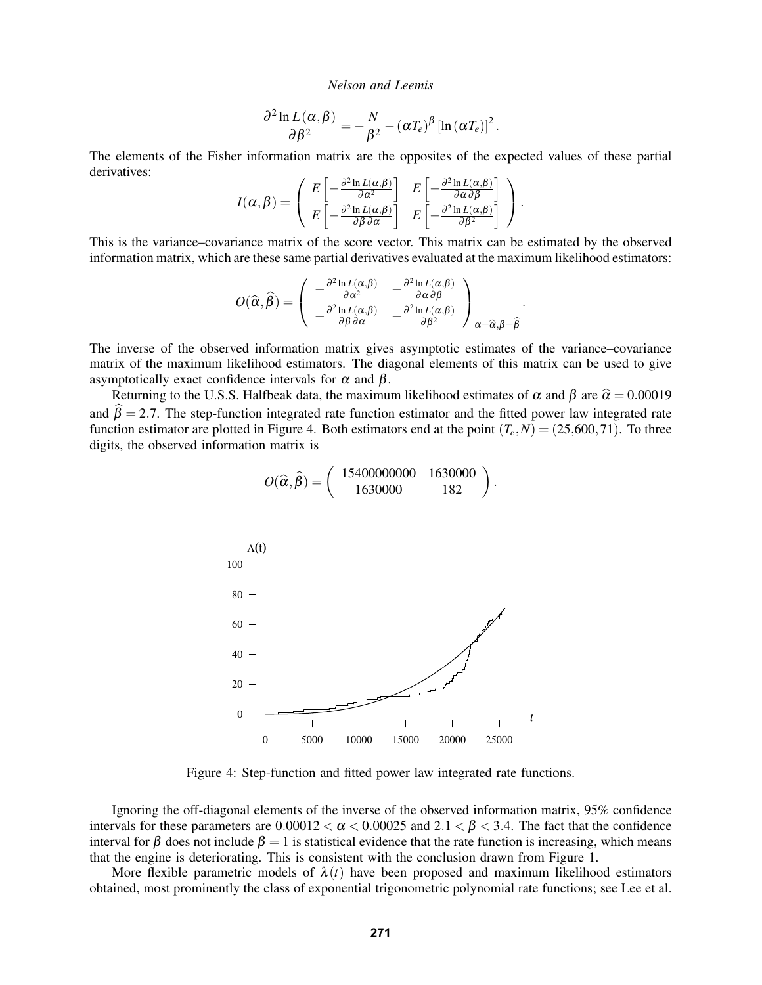$$
\frac{\partial^2 \ln L(\alpha, \beta)}{\partial \beta^2} = -\frac{N}{\beta^2} - (\alpha T_e)^{\beta} \left[ \ln (\alpha T_e) \right]^2.
$$

The elements of the Fisher information matrix are the opposites of the expected values of these partial derivatives:

$$
I(\alpha, \beta) = \begin{pmatrix} E \left[ -\frac{\partial^2 \ln L(\alpha, \beta)}{\partial \alpha^2} \right] & E \left[ -\frac{\partial^2 \ln L(\alpha, \beta)}{\partial \alpha \partial \beta} \right] \\ E \left[ -\frac{\partial^2 \ln L(\alpha, \beta)}{\partial \beta \partial \alpha} \right] & E \left[ -\frac{\partial^2 \ln L(\alpha, \beta)}{\partial \beta^2} \right] \end{pmatrix}.
$$

This is the variance–covariance matrix of the score vector. This matrix can be estimated by the observed information matrix, which are these same partial derivatives evaluated at the maximum likelihood estimators:

$$
O(\widehat{\alpha},\widehat{\beta}) = \begin{pmatrix} -\frac{\partial^2 \ln L(\alpha,\beta)}{\partial \alpha^2} & -\frac{\partial^2 \ln L(\alpha,\beta)}{\partial \alpha \partial \beta} \\ -\frac{\partial^2 \ln L(\alpha,\beta)}{\partial \beta \partial \alpha} & -\frac{\partial^2 \ln L(\alpha,\beta)}{\partial \beta^2} \end{pmatrix}_{\alpha = \widehat{\alpha},\beta = \widehat{\beta}}.
$$

The inverse of the observed information matrix gives asymptotic estimates of the variance–covariance matrix of the maximum likelihood estimators. The diagonal elements of this matrix can be used to give asymptotically exact confidence intervals for  $\alpha$  and  $\beta$ .

Returning to the U.S.S. Halfbeak data, the maximum likelihood estimates of  $\alpha$  and  $\beta$  are  $\hat{\alpha} = 0.00019$ and  $\hat{\beta} = 2.7$ . The step-function integrated rate function estimator and the fitted power law integrated rate function estimator are plotted in Figure [4.](#page-5-0) Both estimators end at the point  $(T_e, N) = (25,600,71)$ . To three digits, the observed information matrix is

$$
O(\widehat{\alpha}, \widehat{\beta}) = \left( \begin{array}{cc} 15400000000 & 1630000 \\ 1630000 & 182 \end{array} \right).
$$



<span id="page-5-0"></span>Figure 4: Step-function and fitted power law integrated rate functions.

Ignoring the off-diagonal elements of the inverse of the observed information matrix, 95% confidence intervals for these parameters are  $0.00012 < \alpha < 0.00025$  and  $2.1 < \beta < 3.4$ . The fact that the confidence interval for  $\beta$  does not include  $\beta = 1$  is statistical evidence that the rate function is increasing, which means that the engine is deteriorating. This is consistent with the conclusion drawn from Figure [1.](#page-2-1)

More flexible parametric models of  $\lambda(t)$  have been proposed and maximum likelihood estimators obtained, most prominently the class of exponential trigonometric polynomial rate functions; see [Lee et al.](#page-9-3)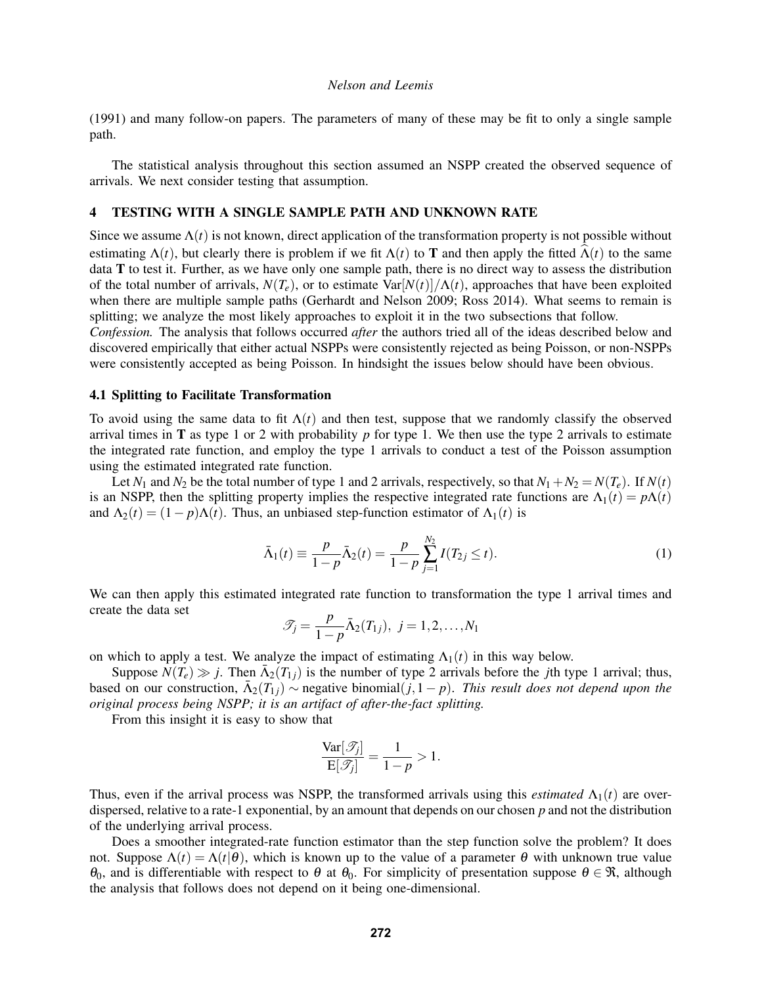[\(1991\)](#page-9-3) and many follow-on papers. The parameters of many of these may be fit to only a single sample path.

The statistical analysis throughout this section assumed an NSPP created the observed sequence of arrivals. We next consider testing that assumption.

## <span id="page-6-0"></span>4 TESTING WITH A SINGLE SAMPLE PATH AND UNKNOWN RATE

Since we assume  $\Lambda(t)$  is not known, direct application of the transformation property is not possible without estimating  $\Lambda(t)$ , but clearly there is problem if we fit  $\Lambda(t)$  to T and then apply the fitted  $\widehat{\Lambda}(t)$  to the same data T to test it. Further, as we have only one sample path, there is no direct way to assess the distribution of the total number of arrivals,  $N(T_e)$ , or to estimate Var[ $N(t)/\Lambda(t)$ , approaches that have been exploited when there are multiple sample paths [\(Gerhardt and Nelson 2009;](#page-9-8) [Ross 2014\)](#page-10-1). What seems to remain is splitting; we analyze the most likely approaches to exploit it in the two subsections that follow.

*Confession.* The analysis that follows occurred *after* the authors tried all of the ideas described below and discovered empirically that either actual NSPPs were consistently rejected as being Poisson, or non-NSPPs were consistently accepted as being Poisson. In hindsight the issues below should have been obvious.

#### 4.1 Splitting to Facilitate Transformation

To avoid using the same data to fit  $\Lambda(t)$  and then test, suppose that we randomly classify the observed arrival times in **T** as type 1 or 2 with probability  $p$  for type 1. We then use the type 2 arrivals to estimate the integrated rate function, and employ the type 1 arrivals to conduct a test of the Poisson assumption using the estimated integrated rate function.

Let  $N_1$  and  $N_2$  be the total number of type 1 and 2 arrivals, respectively, so that  $N_1 + N_2 = N(T_e)$ . If  $N(t)$ is an NSPP, then the splitting property implies the respective integrated rate functions are  $\Lambda_1(t) = p\Lambda(t)$ and  $\Lambda_2(t) = (1 - p)\Lambda(t)$ . Thus, an unbiased step-function estimator of  $\Lambda_1(t)$  is

$$
\bar{\Lambda}_1(t) \equiv \frac{p}{1-p} \bar{\Lambda}_2(t) = \frac{p}{1-p} \sum_{j=1}^{N_2} I(T_{2j} \le t).
$$
 (1)

We can then apply this estimated integrated rate function to transformation the type 1 arrival times and create the data set

$$
\mathscr{T}_j = \frac{p}{1-p} \bar{\Lambda}_2(T_{1j}), \ j = 1, 2, \dots, N_1
$$

on which to apply a test. We analyze the impact of estimating  $\Lambda_1(t)$  in this way below.

Suppose  $\hat{N}(T_e) \gg j$ . Then  $\bar{\Lambda}_2(T_{1j})$  is the number of type 2 arrivals before the *j*th type 1 arrival; thus, based on our construction,  $\bar{\Lambda}_2(T_{1j}) \sim$  negative binomial $(j,1-p)$ . *This result does not depend upon the original process being NSPP; it is an artifact of after-the-fact splitting.*

From this insight it is easy to show that

$$
\frac{\text{Var}[\mathcal{J}_j]}{\text{E}[\mathcal{J}_j]} = \frac{1}{1-p} > 1.
$$

Thus, even if the arrival process was NSPP, the transformed arrivals using this *estimated*  $\Lambda_1(t)$  are overdispersed, relative to a rate-1 exponential, by an amount that depends on our chosen *p* and not the distribution of the underlying arrival process.

Does a smoother integrated-rate function estimator than the step function solve the problem? It does not. Suppose  $\Lambda(t) = \Lambda(t|\theta)$ , which is known up to the value of a parameter  $\theta$  with unknown true value θ<sub>0</sub>, and is differentiable with respect to θ at θ<sub>0</sub>. For simplicity of presentation suppose θ ∈ π, although the analysis that follows does not depend on it being one-dimensional.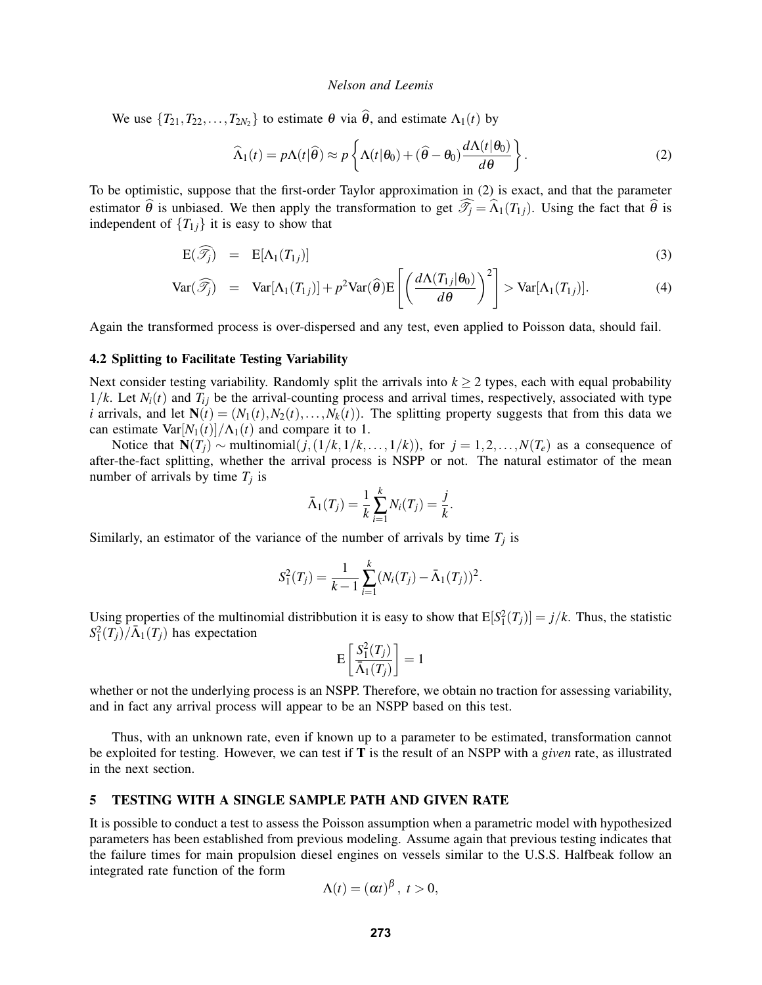We use  $\{T_{21}, T_{22}, \ldots, T_{2N_2}\}\)$  to estimate  $\theta$  via  $\theta$ , and estimate  $\Lambda_1(t)$  by

<span id="page-7-1"></span>
$$
\widehat{\Lambda}_1(t) = p\Lambda(t|\widehat{\theta}) \approx p\left\{\Lambda(t|\theta_0) + (\widehat{\theta} - \theta_0) \frac{d\Lambda(t|\theta_0)}{d\theta}\right\}.
$$
\n(2)

To be optimistic, suppose that the first-order Taylor approximation in [\(2\)](#page-7-1) is exact, and that the parameter estimator  $\hat{\theta}$  is unbiased. We then apply the transformation to get  $\widehat{\mathcal{I}}_i = \widehat{\Lambda}_1(T_{1i})$ . Using the fact that  $\widehat{\theta}$  is independent of  ${T_{1}}$  *i* is easy to show that

$$
E(\widehat{\mathcal{J}_j}) = E[\Lambda_1(T_{1j})]
$$
\n(3)

$$
\text{Var}(\widehat{\mathcal{J}_j}) = \text{Var}[\Lambda_1(T_{1j})] + p^2 \text{Var}(\widehat{\boldsymbol{\theta}}) \mathbb{E}\left[\left(\frac{d\Lambda(T_{1j}|\boldsymbol{\theta}_0)}{d\boldsymbol{\theta}}\right)^2\right] > \text{Var}[\Lambda_1(T_{1j})].\tag{4}
$$

Again the transformed process is over-dispersed and any test, even applied to Poisson data, should fail.

## 4.2 Splitting to Facilitate Testing Variability

Next consider testing variability. Randomly split the arrivals into  $k \geq 2$  types, each with equal probability  $1/k$ . Let  $N_i(t)$  and  $T_{ij}$  be the arrival-counting process and arrival times, respectively, associated with type *i* arrivals, and let  $N(t) = (N_1(t), N_2(t), \ldots, N_k(t))$ . The splitting property suggests that from this data we can estimate  $\text{Var}[N_1(t)]/\Lambda_1(t)$  and compare it to 1.

Notice that  $N(T_i)$  ∼ multinomial $(j, (1/k, 1/k, ..., 1/k))$ , for  $j = 1, 2, ..., N(T_e)$  as a consequence of after-the-fact splitting, whether the arrival process is NSPP or not. The natural estimator of the mean number of arrivals by time  $T_j$  is

$$
\bar{\Lambda}_1(T_j) = \frac{1}{k} \sum_{i=1}^k N_i(T_j) = \frac{j}{k}.
$$

Similarly, an estimator of the variance of the number of arrivals by time  $T_j$  is

$$
S_1^2(T_j) = \frac{1}{k-1} \sum_{i=1}^k (N_i(T_j) - \bar{\Lambda}_1(T_j))^2.
$$

Using properties of the multinomial distribbution it is easy to show that  $E[S_1^2(T_j)] = j/k$ . Thus, the statistic  $S_1^2(T_j)/\bar{\Lambda}_1(T_j)$  has expectation

$$
\mathrm{E}\left[\frac{S_1^2(T_j)}{\bar{\Lambda}_1(T_j)}\right] = 1
$$

whether or not the underlying process is an NSPP. Therefore, we obtain no traction for assessing variability, and in fact any arrival process will appear to be an NSPP based on this test.

Thus, with an unknown rate, even if known up to a parameter to be estimated, transformation cannot be exploited for testing. However, we can test if T is the result of an NSPP with a *given* rate, as illustrated in the next section.

# <span id="page-7-0"></span>5 TESTING WITH A SINGLE SAMPLE PATH AND GIVEN RATE

It is possible to conduct a test to assess the Poisson assumption when a parametric model with hypothesized parameters has been established from previous modeling. Assume again that previous testing indicates that the failure times for main propulsion diesel engines on vessels similar to the U.S.S. Halfbeak follow an integrated rate function of the form

$$
\Lambda(t)=(\alpha t)^{\beta},\ t>0,
$$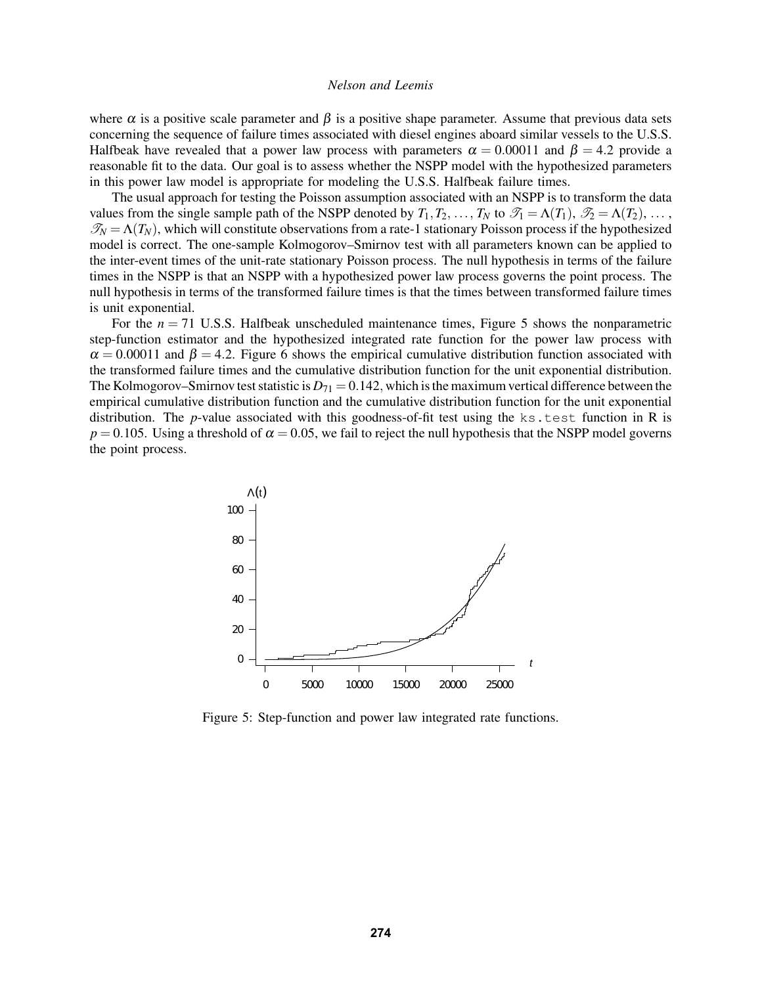where  $\alpha$  is a positive scale parameter and  $\beta$  is a positive shape parameter. Assume that previous data sets concerning the sequence of failure times associated with diesel engines aboard similar vessels to the U.S.S. Halfbeak have revealed that a power law process with parameters  $\alpha = 0.00011$  and  $\beta = 4.2$  provide a reasonable fit to the data. Our goal is to assess whether the NSPP model with the hypothesized parameters in this power law model is appropriate for modeling the U.S.S. Halfbeak failure times.

The usual approach for testing the Poisson assumption associated with an NSPP is to transform the data values from the single sample path of the NSPP denoted by  $T_1, T_2, \ldots, T_N$  to  $\mathcal{T}_1 = \Lambda(T_1), \mathcal{T}_2 = \Lambda(T_2), \ldots$ ,  $\mathcal{T}_N = \Lambda(T_N)$ , which will constitute observations from a rate-1 stationary Poisson process if the hypothesized model is correct. The one-sample Kolmogorov–Smirnov test with all parameters known can be applied to the inter-event times of the unit-rate stationary Poisson process. The null hypothesis in terms of the failure times in the NSPP is that an NSPP with a hypothesized power law process governs the point process. The null hypothesis in terms of the transformed failure times is that the times between transformed failure times is unit exponential.

For the  $n = 71$  U.S.S. Halfbeak unscheduled maintenance times, Figure [5](#page-8-0) shows the nonparametric step-function estimator and the hypothesized integrated rate function for the power law process with  $\alpha = 0.00011$  and  $\beta = 4.2$ . Figure [6](#page-9-9) shows the empirical cumulative distribution function associated with the transformed failure times and the cumulative distribution function for the unit exponential distribution. The Kolmogorov–Smirnov test statistic is  $D_{71} = 0.142$ , which is the maximum vertical difference between the empirical cumulative distribution function and the cumulative distribution function for the unit exponential distribution. The *p*-value associated with this goodness-of-fit test using the ks.test function in R is  $p = 0.105$ . Using a threshold of  $\alpha = 0.05$ , we fail to reject the null hypothesis that the NSPP model governs the point process.



<span id="page-8-0"></span>Figure 5: Step-function and power law integrated rate functions.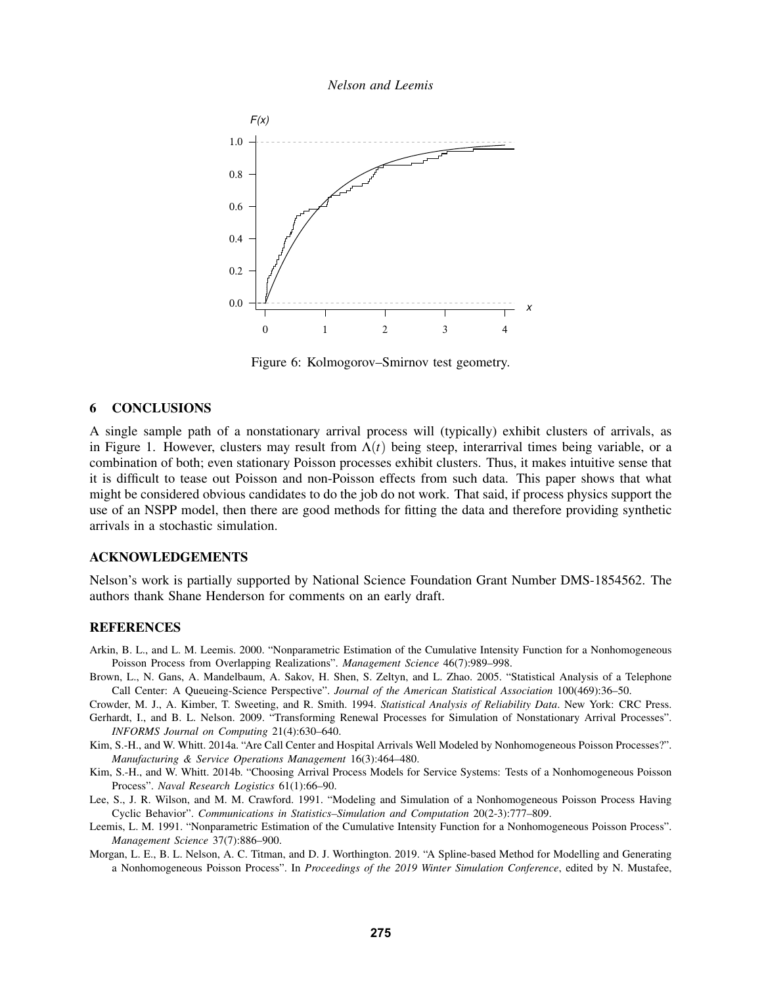*Nelson and Leemis*



<span id="page-9-9"></span>Figure 6: Kolmogorov–Smirnov test geometry.

#### 6 CONCLUSIONS

A single sample path of a nonstationary arrival process will (typically) exhibit clusters of arrivals, as in Figure [1.](#page-2-1) However, clusters may result from  $\Lambda(t)$  being steep, interarrival times being variable, or a combination of both; even stationary Poisson processes exhibit clusters. Thus, it makes intuitive sense that it is difficult to tease out Poisson and non-Poisson effects from such data. This paper shows that what might be considered obvious candidates to do the job do not work. That said, if process physics support the use of an NSPP model, then there are good methods for fitting the data and therefore providing synthetic arrivals in a stochastic simulation.

## ACKNOWLEDGEMENTS

Nelson's work is partially supported by National Science Foundation Grant Number DMS-1854562. The authors thank Shane Henderson for comments on an early draft.

#### **REFERENCES**

- <span id="page-9-1"></span>Arkin, B. L., and L. M. Leemis. 2000. "Nonparametric Estimation of the Cumulative Intensity Function for a Nonhomogeneous Poisson Process from Overlapping Realizations". *Management Science* 46(7):989–998.
- <span id="page-9-4"></span>Brown, L., N. Gans, A. Mandelbaum, A. Sakov, H. Shen, S. Zeltyn, and L. Zhao. 2005. "Statistical Analysis of a Telephone Call Center: A Queueing-Science Perspective". *Journal of the American Statistical Association* 100(469):36–50.
- <span id="page-9-7"></span>Crowder, M. J., A. Kimber, T. Sweeting, and R. Smith. 1994. *Statistical Analysis of Reliability Data*. New York: CRC Press.
- <span id="page-9-8"></span>Gerhardt, I., and B. L. Nelson. 2009. "Transforming Renewal Processes for Simulation of Nonstationary Arrival Processes". *INFORMS Journal on Computing* 21(4):630–640.
- <span id="page-9-6"></span>Kim, S.-H., and W. Whitt. 2014a. "Are Call Center and Hospital Arrivals Well Modeled by Nonhomogeneous Poisson Processes?". *Manufacturing & Service Operations Management* 16(3):464–480.
- <span id="page-9-5"></span>Kim, S.-H., and W. Whitt. 2014b. "Choosing Arrival Process Models for Service Systems: Tests of a Nonhomogeneous Poisson Process". *Naval Research Logistics* 61(1):66–90.
- <span id="page-9-3"></span>Lee, S., J. R. Wilson, and M. M. Crawford. 1991. "Modeling and Simulation of a Nonhomogeneous Poisson Process Having Cyclic Behavior". *Communications in Statistics–Simulation and Computation* 20(2-3):777–809.
- <span id="page-9-0"></span>Leemis, L. M. 1991. "Nonparametric Estimation of the Cumulative Intensity Function for a Nonhomogeneous Poisson Process". *Management Science* 37(7):886–900.
- <span id="page-9-2"></span>Morgan, L. E., B. L. Nelson, A. C. Titman, and D. J. Worthington. 2019. "A Spline-based Method for Modelling and Generating a Nonhomogeneous Poisson Process". In *Proceedings of the 2019 Winter Simulation Conference*, edited by N. Mustafee,